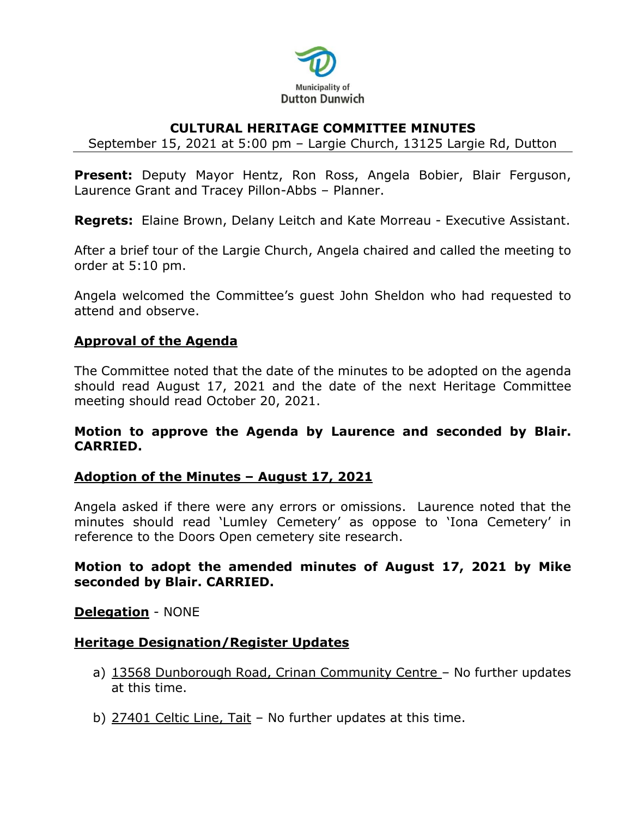

## **CULTURAL HERITAGE COMMITTEE MINUTES**

September 15, 2021 at 5:00 pm – Largie Church, 13125 Largie Rd, Dutton

**Present:** Deputy Mayor Hentz, Ron Ross, Angela Bobier, Blair Ferguson, Laurence Grant and Tracey Pillon-Abbs – Planner.

**Regrets:** Elaine Brown, Delany Leitch and Kate Morreau - Executive Assistant.

After a brief tour of the Largie Church, Angela chaired and called the meeting to order at 5:10 pm.

Angela welcomed the Committee's guest John Sheldon who had requested to attend and observe.

### **Approval of the Agenda**

The Committee noted that the date of the minutes to be adopted on the agenda should read August 17, 2021 and the date of the next Heritage Committee meeting should read October 20, 2021.

### **Motion to approve the Agenda by Laurence and seconded by Blair. CARRIED.**

## **Adoption of the Minutes – August 17, 2021**

Angela asked if there were any errors or omissions. Laurence noted that the minutes should read 'Lumley Cemetery' as oppose to 'Iona Cemetery' in reference to the Doors Open cemetery site research.

## **Motion to adopt the amended minutes of August 17, 2021 by Mike seconded by Blair. CARRIED.**

#### **Delegation** - NONE

#### **Heritage Designation/Register Updates**

- a) 13568 Dunborough Road, Crinan Community Centre No further updates at this time.
- b) 27401 Celtic Line, Tait No further updates at this time.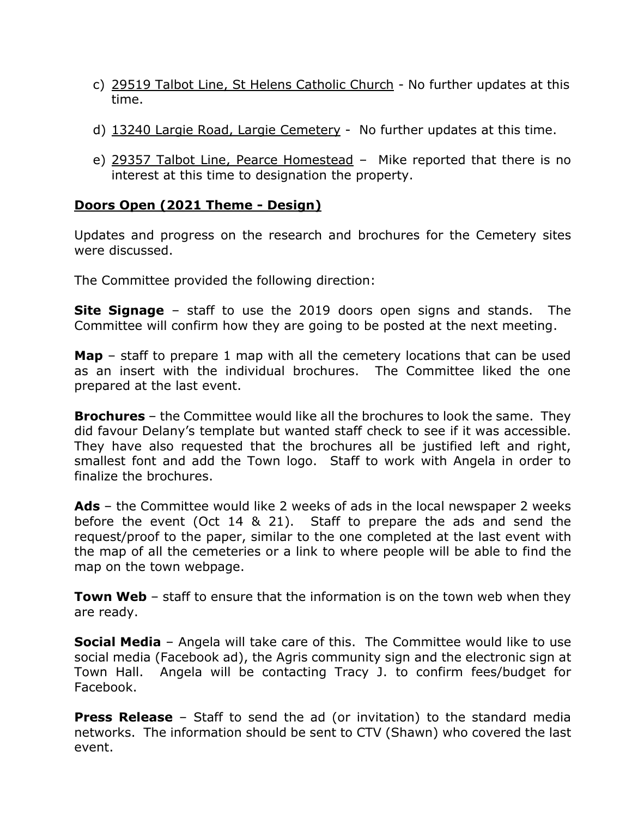- c) 29519 Talbot Line, St Helens Catholic Church No further updates at this time.
- d) 13240 Largie Road, Largie Cemetery No further updates at this time.
- e) 29357 Talbot Line, Pearce Homestead Mike reported that there is no interest at this time to designation the property.

# **Doors Open (2021 Theme - Design)**

Updates and progress on the research and brochures for the Cemetery sites were discussed.

The Committee provided the following direction:

**Site Signage** – staff to use the 2019 doors open signs and stands. The Committee will confirm how they are going to be posted at the next meeting.

**Map** – staff to prepare 1 map with all the cemetery locations that can be used as an insert with the individual brochures. The Committee liked the one prepared at the last event.

**Brochures** – the Committee would like all the brochures to look the same. They did favour Delany's template but wanted staff check to see if it was accessible. They have also requested that the brochures all be justified left and right, smallest font and add the Town logo. Staff to work with Angela in order to finalize the brochures.

**Ads** – the Committee would like 2 weeks of ads in the local newspaper 2 weeks before the event (Oct 14 & 21). Staff to prepare the ads and send the request/proof to the paper, similar to the one completed at the last event with the map of all the cemeteries or a link to where people will be able to find the map on the town webpage.

**Town Web** – staff to ensure that the information is on the town web when they are ready.

**Social Media** – Angela will take care of this. The Committee would like to use social media (Facebook ad), the Agris community sign and the electronic sign at Town Hall. Angela will be contacting Tracy J. to confirm fees/budget for Facebook.

**Press Release** – Staff to send the ad (or invitation) to the standard media networks. The information should be sent to CTV (Shawn) who covered the last event.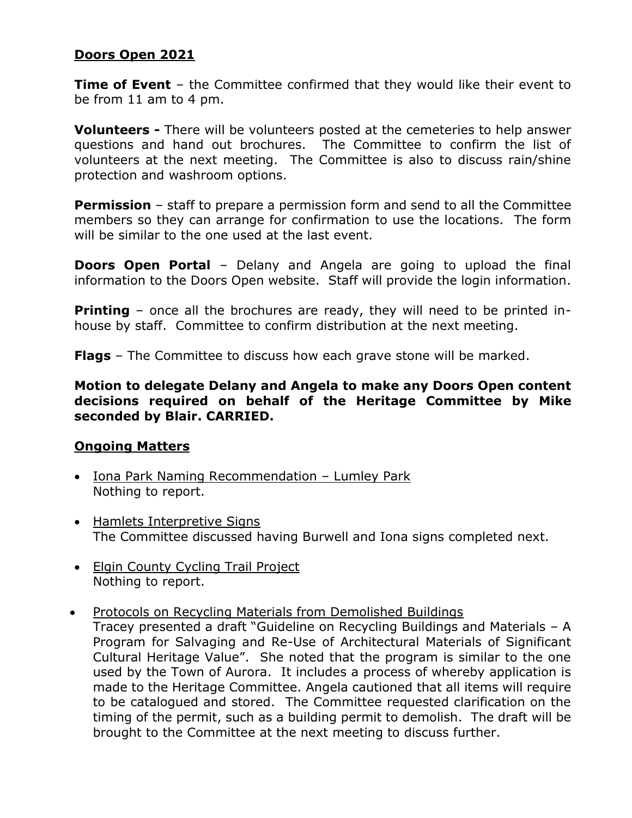# **Doors Open 2021**

**Time of Event** – the Committee confirmed that they would like their event to be from 11 am to 4 pm.

**Volunteers -** There will be volunteers posted at the cemeteries to help answer questions and hand out brochures. The Committee to confirm the list of volunteers at the next meeting. The Committee is also to discuss rain/shine protection and washroom options.

**Permission** – staff to prepare a permission form and send to all the Committee members so they can arrange for confirmation to use the locations. The form will be similar to the one used at the last event.

**Doors Open Portal** – Delany and Angela are going to upload the final information to the Doors Open website. Staff will provide the login information.

**Printing** - once all the brochures are ready, they will need to be printed inhouse by staff. Committee to confirm distribution at the next meeting.

**Flags** – The Committee to discuss how each grave stone will be marked.

**Motion to delegate Delany and Angela to make any Doors Open content decisions required on behalf of the Heritage Committee by Mike seconded by Blair. CARRIED.** 

## **Ongoing Matters**

- Iona Park Naming Recommendation Lumley Park Nothing to report.
- Hamlets Interpretive Signs The Committee discussed having Burwell and Iona signs completed next.
- Elgin County Cycling Trail Project Nothing to report.
- Protocols on Recycling Materials from Demolished Buildings

Tracey presented a draft "Guideline on Recycling Buildings and Materials – A Program for Salvaging and Re-Use of Architectural Materials of Significant Cultural Heritage Value". She noted that the program is similar to the one used by the Town of Aurora. It includes a process of whereby application is made to the Heritage Committee. Angela cautioned that all items will require to be catalogued and stored. The Committee requested clarification on the timing of the permit, such as a building permit to demolish. The draft will be brought to the Committee at the next meeting to discuss further.